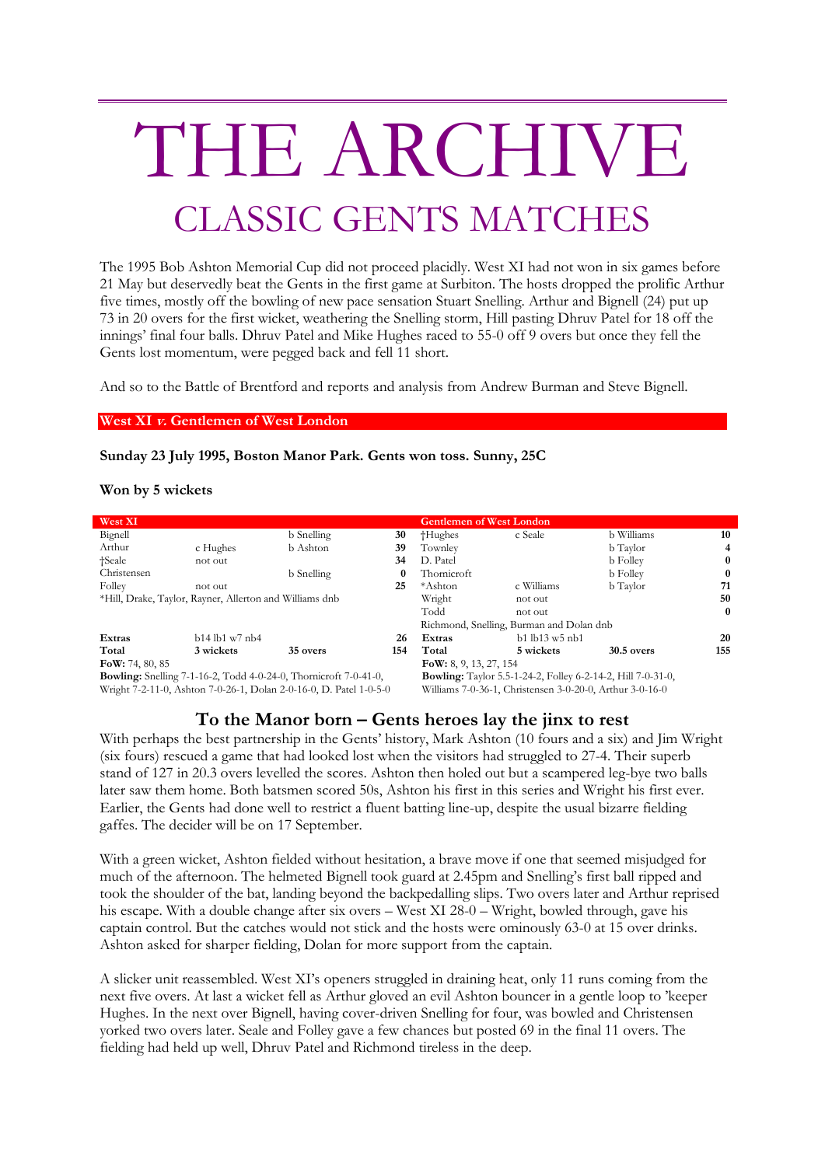# THE ARCHIVE CLASSIC GENTS MATCHES

The 1995 Bob Ashton Memorial Cup did not proceed placidly. West XI had not won in six games before 21 May but deservedly beat the Gents in the first game at Surbiton. The hosts dropped the prolific Arthur five times, mostly off the bowling of new pace sensation Stuart Snelling. Arthur and Bignell (24) put up 73 in 20 overs for the first wicket, weathering the Snelling storm, Hill pasting Dhruv Patel for 18 off the innings' final four balls. Dhruv Patel and Mike Hughes raced to 55-0 off 9 overs but once they fell the Gents lost momentum, were pegged back and fell 11 short.

And so to the Battle of Brentford and reports and analysis from Andrew Burman and Steve Bignell.

#### **West XI v. Gentlemen of West London**

#### **Sunday 23 July 1995, Boston Manor Park. Gents won toss. Sunny, 25C**

#### **Won by 5 wickets**

| West XI                                                                 |                  |            |          | <b>Gentlemen of West London</b>                                    |                        |                 |     |
|-------------------------------------------------------------------------|------------------|------------|----------|--------------------------------------------------------------------|------------------------|-----------------|-----|
| Bignell                                                                 |                  | b Snelling | 30       | †Hughes                                                            | c Seale                | b Williams      | 10  |
| Arthur                                                                  | c Hughes         | b Ashton   | 39       | Townley                                                            |                        | b Taylor        | 4   |
| †Seale                                                                  | not out          |            | 34       | D. Patel                                                           |                        | <b>b</b> Folley |     |
| Christensen                                                             |                  | b Snelling | $\bf{0}$ | Thornicroft                                                        |                        | <b>b</b> Folley |     |
| Folley                                                                  | not out          |            | 25       | *Ashton                                                            | c Williams             | b Taylor        | 71  |
| *Hill, Drake, Taylor, Rayner, Allerton and Williams dnb                 |                  |            |          | Wright                                                             | not out                |                 | 50  |
|                                                                         |                  |            |          | Todd                                                               | not out                |                 | 0   |
|                                                                         |                  |            |          | Richmond, Snelling, Burman and Dolan dnb                           |                        |                 |     |
| Extras                                                                  | $b14$ lb1 w7 nb4 |            | 26       | Extras                                                             | $b1$ $lb13$ $w5$ $nb1$ |                 | 20  |
| Total                                                                   | 3 wickets        | 35 overs   | 154      | Total                                                              | 5 wickets              | $30.5$ overs    | 155 |
| FoW: 74, 80, 85                                                         |                  |            |          | $\textbf{FoW: } 8, 9, 13, 27, 154$                                 |                        |                 |     |
| <b>Bowling:</b> Snelling 7-1-16-2, Todd 4-0-24-0, Thornicroft 7-0-41-0, |                  |            |          | <b>Bowling:</b> Taylor 5.5-1-24-2, Folley 6-2-14-2, Hill 7-0-31-0, |                        |                 |     |
| Wright 7-2-11-0, Ashton 7-0-26-1, Dolan 2-0-16-0, D. Patel 1-0-5-0      |                  |            |          | Williams 7-0-36-1, Christensen 3-0-20-0, Arthur 3-0-16-0           |                        |                 |     |

### **To the Manor born – Gents heroes lay the jinx to rest**

With perhaps the best partnership in the Gents' history, Mark Ashton (10 fours and a six) and Jim Wright (six fours) rescued a game that had looked lost when the visitors had struggled to 27-4. Their superb stand of 127 in 20.3 overs levelled the scores. Ashton then holed out but a scampered leg-bye two balls later saw them home. Both batsmen scored 50s, Ashton his first in this series and Wright his first ever. Earlier, the Gents had done well to restrict a fluent batting line-up, despite the usual bizarre fielding gaffes. The decider will be on 17 September.

With a green wicket, Ashton fielded without hesitation, a brave move if one that seemed misjudged for much of the afternoon. The helmeted Bignell took guard at 2.45pm and Snelling's first ball ripped and took the shoulder of the bat, landing beyond the backpedalling slips. Two overs later and Arthur reprised his escape. With a double change after six overs – West XI 28-0 – Wright, bowled through, gave his captain control. But the catches would not stick and the hosts were ominously 63-0 at 15 over drinks. Ashton asked for sharper fielding, Dolan for more support from the captain.

A slicker unit reassembled. West XI's openers struggled in draining heat, only 11 runs coming from the next five overs. At last a wicket fell as Arthur gloved an evil Ashton bouncer in a gentle loop to 'keeper Hughes. In the next over Bignell, having cover-driven Snelling for four, was bowled and Christensen yorked two overs later. Seale and Folley gave a few chances but posted 69 in the final 11 overs. The fielding had held up well, Dhruv Patel and Richmond tireless in the deep.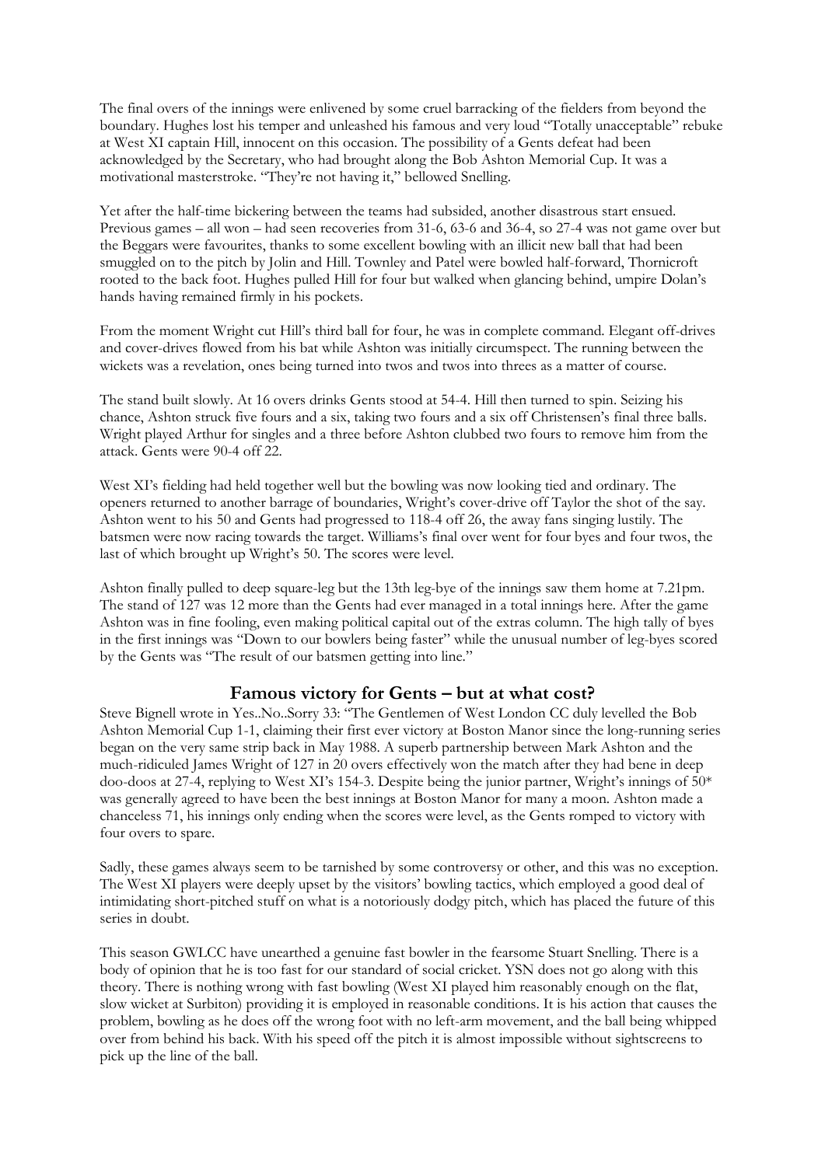The final overs of the innings were enlivened by some cruel barracking of the fielders from beyond the boundary. Hughes lost his temper and unleashed his famous and very loud "Totally unacceptable" rebuke at West XI captain Hill, innocent on this occasion. The possibility of a Gents defeat had been acknowledged by the Secretary, who had brought along the Bob Ashton Memorial Cup. It was a motivational masterstroke. "They're not having it," bellowed Snelling.

Yet after the half-time bickering between the teams had subsided, another disastrous start ensued. Previous games – all won – had seen recoveries from 31-6, 63-6 and 36-4, so 27-4 was not game over but the Beggars were favourites, thanks to some excellent bowling with an illicit new ball that had been smuggled on to the pitch by Jolin and Hill. Townley and Patel were bowled half-forward, Thornicroft rooted to the back foot. Hughes pulled Hill for four but walked when glancing behind, umpire Dolan's hands having remained firmly in his pockets.

From the moment Wright cut Hill's third ball for four, he was in complete command. Elegant off-drives and cover-drives flowed from his bat while Ashton was initially circumspect. The running between the wickets was a revelation, ones being turned into twos and twos into threes as a matter of course.

The stand built slowly. At 16 overs drinks Gents stood at 54-4. Hill then turned to spin. Seizing his chance, Ashton struck five fours and a six, taking two fours and a six off Christensen's final three balls. Wright played Arthur for singles and a three before Ashton clubbed two fours to remove him from the attack. Gents were 90-4 off 22.

West XI's fielding had held together well but the bowling was now looking tied and ordinary. The openers returned to another barrage of boundaries, Wright's cover-drive off Taylor the shot of the say. Ashton went to his 50 and Gents had progressed to 118-4 off 26, the away fans singing lustily. The batsmen were now racing towards the target. Williams's final over went for four byes and four twos, the last of which brought up Wright's 50. The scores were level.

Ashton finally pulled to deep square-leg but the 13th leg-bye of the innings saw them home at 7.21pm. The stand of 127 was 12 more than the Gents had ever managed in a total innings here. After the game Ashton was in fine fooling, even making political capital out of the extras column. The high tally of byes in the first innings was "Down to our bowlers being faster" while the unusual number of leg-byes scored by the Gents was "The result of our batsmen getting into line."

## **Famous victory for Gents – but at what cost?**

Steve Bignell wrote in Yes..No..Sorry 33: "The Gentlemen of West London CC duly levelled the Bob Ashton Memorial Cup 1-1, claiming their first ever victory at Boston Manor since the long-running series began on the very same strip back in May 1988. A superb partnership between Mark Ashton and the much-ridiculed James Wright of 127 in 20 overs effectively won the match after they had bene in deep doo-doos at 27-4, replying to West XI's 154-3. Despite being the junior partner, Wright's innings of 50\* was generally agreed to have been the best innings at Boston Manor for many a moon. Ashton made a chanceless 71, his innings only ending when the scores were level, as the Gents romped to victory with four overs to spare.

Sadly, these games always seem to be tarnished by some controversy or other, and this was no exception. The West XI players were deeply upset by the visitors' bowling tactics, which employed a good deal of intimidating short-pitched stuff on what is a notoriously dodgy pitch, which has placed the future of this series in doubt.

This season GWLCC have unearthed a genuine fast bowler in the fearsome Stuart Snelling. There is a body of opinion that he is too fast for our standard of social cricket. YSN does not go along with this theory. There is nothing wrong with fast bowling (West XI played him reasonably enough on the flat, slow wicket at Surbiton) providing it is employed in reasonable conditions. It is his action that causes the problem, bowling as he does off the wrong foot with no left-arm movement, and the ball being whipped over from behind his back. With his speed off the pitch it is almost impossible without sightscreens to pick up the line of the ball.